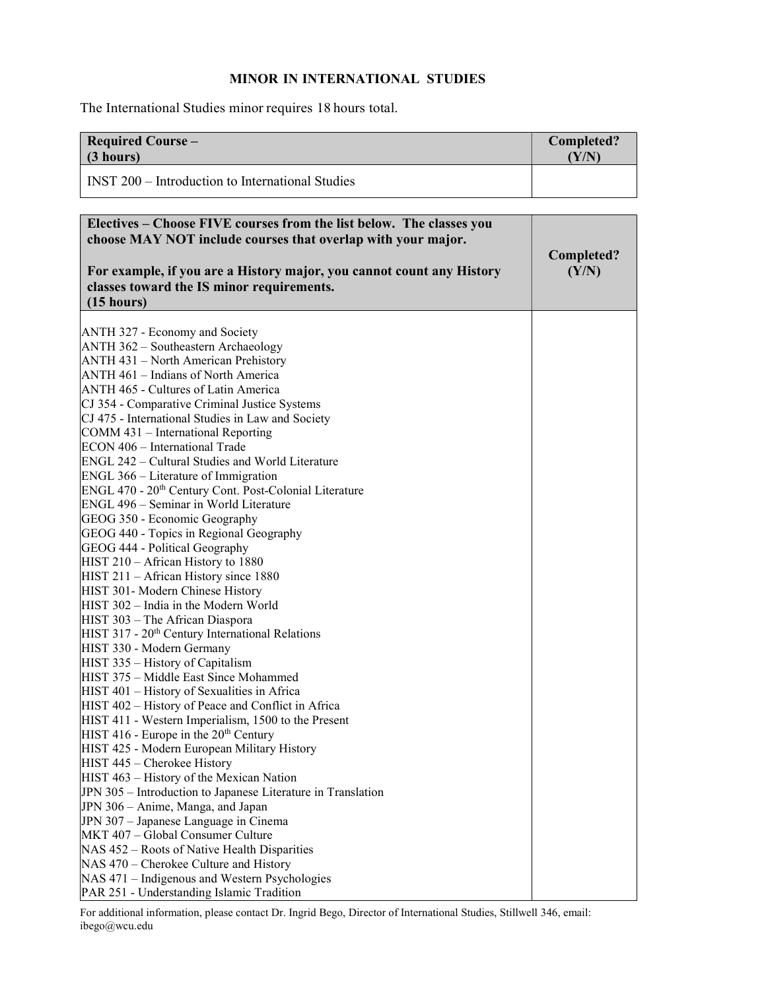## MINOR IN INTERNATIONAL STUDIES

The International Studies minor requires 18 hours total.

| <b>Required Course -</b><br>(3 hours)                                                                                                                                                                                                                                                                                                                                                                                                                                                                                                                                                                                                                                                                                                                                                                                                                                                                                                                                                                                                                                                                                                                                                                                                                                                                                                                                                                                                                                                                                                                                                                                                                                                                                                      | <b>Completed?</b><br>(Y/N) |
|--------------------------------------------------------------------------------------------------------------------------------------------------------------------------------------------------------------------------------------------------------------------------------------------------------------------------------------------------------------------------------------------------------------------------------------------------------------------------------------------------------------------------------------------------------------------------------------------------------------------------------------------------------------------------------------------------------------------------------------------------------------------------------------------------------------------------------------------------------------------------------------------------------------------------------------------------------------------------------------------------------------------------------------------------------------------------------------------------------------------------------------------------------------------------------------------------------------------------------------------------------------------------------------------------------------------------------------------------------------------------------------------------------------------------------------------------------------------------------------------------------------------------------------------------------------------------------------------------------------------------------------------------------------------------------------------------------------------------------------------|----------------------------|
| <b>INST 200 – Introduction to International Studies</b>                                                                                                                                                                                                                                                                                                                                                                                                                                                                                                                                                                                                                                                                                                                                                                                                                                                                                                                                                                                                                                                                                                                                                                                                                                                                                                                                                                                                                                                                                                                                                                                                                                                                                    |                            |
|                                                                                                                                                                                                                                                                                                                                                                                                                                                                                                                                                                                                                                                                                                                                                                                                                                                                                                                                                                                                                                                                                                                                                                                                                                                                                                                                                                                                                                                                                                                                                                                                                                                                                                                                            |                            |
| Electives – Choose FIVE courses from the list below. The classes you<br>choose MAY NOT include courses that overlap with your major.<br>For example, if you are a History major, you cannot count any History<br>classes toward the IS minor requirements.<br>(15 hours)                                                                                                                                                                                                                                                                                                                                                                                                                                                                                                                                                                                                                                                                                                                                                                                                                                                                                                                                                                                                                                                                                                                                                                                                                                                                                                                                                                                                                                                                   | Completed?<br>(Y/N)        |
| ANTH 327 - Economy and Society<br>ANTH 362 - Southeastern Archaeology<br>ANTH 431 - North American Prehistory<br>ANTH 461 - Indians of North America<br>ANTH 465 - Cultures of Latin America<br>CJ 354 - Comparative Criminal Justice Systems<br>CJ 475 - International Studies in Law and Society<br>COMM 431 – International Reporting<br>ECON 406 - International Trade<br>ENGL 242 – Cultural Studies and World Literature<br>ENGL 366 - Literature of Immigration<br>ENGL 470 - 20 <sup>th</sup> Century Cont. Post-Colonial Literature<br>ENGL 496 - Seminar in World Literature<br>GEOG 350 - Economic Geography<br>GEOG 440 - Topics in Regional Geography<br>GEOG 444 - Political Geography<br>HIST 210 - African History to 1880<br>HIST 211 - African History since 1880<br>HIST 301- Modern Chinese History<br>HIST 302 – India in the Modern World<br>HIST 303 - The African Diaspora<br>HIST 317 - 20 <sup>th</sup> Century International Relations<br>HIST 330 - Modern Germany<br>HIST 335 - History of Capitalism<br>HIST 375 - Middle East Since Mohammed<br>HIST 401 - History of Sexualities in Africa<br>HIST 402 - History of Peace and Conflict in Africa<br>HIST 411 - Western Imperialism, 1500 to the Present<br>HIST 416 - Europe in the $20th$ Century<br>HIST 425 - Modern European Military History<br>HIST 445 - Cherokee History<br>HIST 463 - History of the Mexican Nation<br>JPN 305 - Introduction to Japanese Literature in Translation<br>JPN 306 - Anime, Manga, and Japan<br>JPN 307 - Japanese Language in Cinema<br>MKT 407 - Global Consumer Culture<br>NAS 452 - Roots of Native Health Disparities<br>NAS 470 – Cherokee Culture and History<br>NAS 471 - Indigenous and Western Psychologies |                            |

For additional information, please contact Dr. Ingrid Bego, Director of International Studies, Stillwell 346, email: ibego@wcu.edu